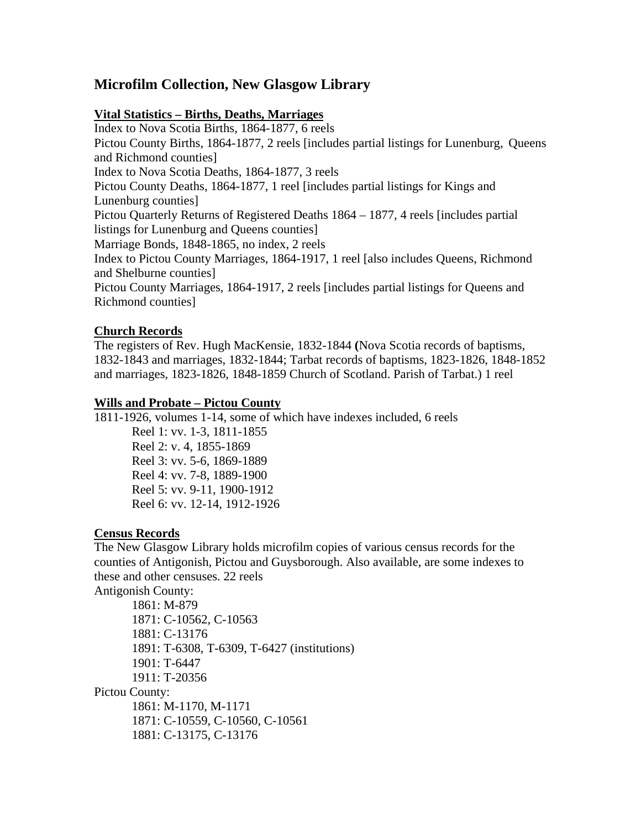# **Microfilm Collection, New Glasgow Library**

### **Vital Statistics – Births, Deaths, Marriages**

Index to Nova Scotia Births, 1864-1877, 6 reels Pictou County Births, 1864-1877, 2 reels [includes partial listings for Lunenburg, Queens and Richmond counties] Index to Nova Scotia Deaths, 1864-1877, 3 reels Pictou County Deaths, 1864-1877, 1 reel [includes partial listings for Kings and Lunenburg counties] Pictou Quarterly Returns of Registered Deaths 1864 – 1877, 4 reels [includes partial listings for Lunenburg and Queens counties] Marriage Bonds, 1848-1865, no index, 2 reels Index to Pictou County Marriages, 1864-1917, 1 reel [also includes Queens, Richmond and Shelburne counties] Pictou County Marriages, 1864-1917, 2 reels [includes partial listings for Queens and Richmond counties]

### **Church Records**

The registers of Rev. Hugh MacKensie, 1832-1844 **(**Nova Scotia records of baptisms, 1832-1843 and marriages, 1832-1844; Tarbat records of baptisms, 1823-1826, 1848-1852 and marriages, 1823-1826, 1848-1859 Church of Scotland. Parish of Tarbat.) 1 reel

### **Wills and Probate – Pictou County**

1811-1926, volumes 1-14, some of which have indexes included, 6 reels

Reel 1: vv. 1-3, 1811-1855 Reel 2: v. 4, 1855-1869 Reel 3: vv. 5-6, 1869-1889 Reel 4: vv. 7-8, 1889-1900 Reel 5: vv. 9-11, 1900-1912 Reel 6: vv. 12-14, 1912-1926

## **Census Records**

The New Glasgow Library holds microfilm copies of various census records for the counties of Antigonish, Pictou and Guysborough. Also available, are some indexes to these and other censuses. 22 reels

Antigonish County:

1861: M-879 1871: C-10562, C-10563 1881: C-13176 1891: T-6308, T-6309, T-6427 (institutions) 1901: T-6447 1911: T-20356 Pictou County: 1861: M-1170, M-1171

1871: C-10559, C-10560, C-10561 1881: C-13175, C-13176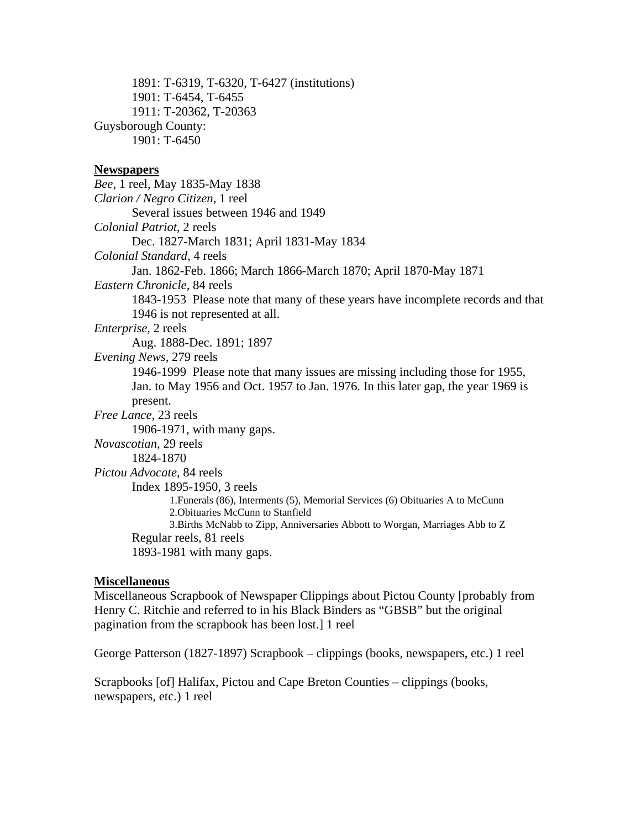1891: T-6319, T-6320, T-6427 (institutions) 1901: T-6454, T-6455 1911: T-20362, T-20363 Guysborough County: 1901: T-6450

#### **Newspapers**

*Bee*, 1 reel, May 1835-May 1838 *Clarion / Negro Citizen*, 1 reel Several issues between 1946 and 1949 *Colonial Patriot*, 2 reels Dec. 1827-March 1831; April 1831-May 1834 *Colonial Standard*, 4 reels Jan. 1862-Feb. 1866; March 1866-March 1870; April 1870-May 1871 *Eastern Chronicle*, 84 reels 1843-1953 Please note that many of these years have incomplete records and that 1946 is not represented at all. *Enterprise*, 2 reels Aug. 1888-Dec. 1891; 1897 *Evening News*, 279 reels 1946-1999 Please note that many issues are missing including those for 1955, Jan. to May 1956 and Oct. 1957 to Jan. 1976. In this later gap, the year 1969 is present. *Free Lance*, 23 reels 1906-1971, with many gaps. *Novascotian*, 29 reels 1824-1870 *Pictou Advocate*, 84 reels Index 1895-1950, 3 reels 1.Funerals (86), Interments (5), Memorial Services (6) Obituaries A to McCunn 2.Obituaries McCunn to Stanfield 3.Births McNabb to Zipp, Anniversaries Abbott to Worgan, Marriages Abb to Z Regular reels, 81 reels 1893-1981 with many gaps.

#### **Miscellaneous**

Miscellaneous Scrapbook of Newspaper Clippings about Pictou County [probably from Henry C. Ritchie and referred to in his Black Binders as "GBSB" but the original pagination from the scrapbook has been lost.] 1 reel

George Patterson (1827-1897) Scrapbook – clippings (books, newspapers, etc.) 1 reel

Scrapbooks [of] Halifax, Pictou and Cape Breton Counties – clippings (books, newspapers, etc.) 1 reel